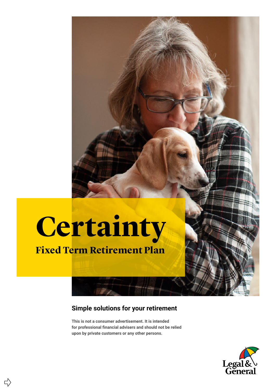## **Certainty**

## **Fixed Term Retirement Plan**

## **Simple solutions for your retirement**

**This is not a consumer advertisement. It is intended for professional financial advisers and should not be relied upon by private customers or any other persons.**

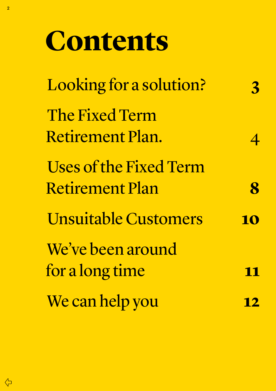## **Contents**

| Looking for a solution?                                                                                                      | 3            |
|------------------------------------------------------------------------------------------------------------------------------|--------------|
| The Fixed Term<br>Retirement Plan.<br><b>Uses of the Fixed Term</b><br><b>Retirement Plan</b><br><b>Unsuitable Customers</b> |              |
|                                                                                                                              | $\mathbf{R}$ |
|                                                                                                                              | 10           |
| We've been around<br>for a long time                                                                                         |              |
| We can help you                                                                                                              | <u> 2</u>    |

 $\overline{\mathcal{L}}$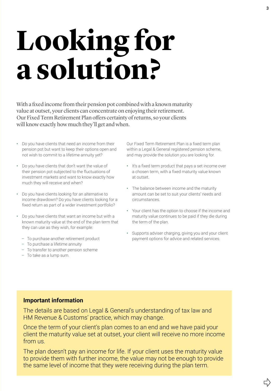## <span id="page-2-0"></span>**Looking for a solution?**

With a fixed income from their pension pot combined with a known maturity value at outset, your clients can concentrate on enjoying their retirement. Our Fixed Term Retirement Plan offers certainty of returns, so your clients will know exactly how much they'll get and when.

- Do you have clients that need an income from their pension pot but want to keep their options open and not wish to commit to a lifetime annuity yet?
- Do you have clients that don't want the value of their pension pot subjected to the fluctuations of investment markets and want to know exactly how much they will receive and when?
- Do you have clients looking for an alternative to income drawdown? Do you have clients looking for a fixed return as part of a wider investment portfolio?
- Do you have clients that want an income but with a known maturity value at the end of the plan term that they can use as they wish, for example:
	- To purchase another retirement product
	- To purchase a lifetime annuity
	- To transfer to another pension scheme
	- To take as a lump sum.

Our Fixed Term Retirement Plan is a fixed term plan within a Legal & General registered pension scheme, and may provide the solution you are looking for.

- It's a fixed term product that pays a set income over a chosen term, with a fixed maturity value known at outset.
- The balance between income and the maturity amount can be set to suit your clients' needs and circumstances.
- Your client has the option to choose if the income and maturity value continues to be paid if they die during the term of the plan.
- Supports adviser charging, giving you and your client payment options for advice and related services.

## **Important information**

The details are based on Legal & General's understanding of tax law and HM Revenue & Customs' practice, which may change.

Once the term of your client's plan comes to an end and we have paid your client the maturity value set at outset, your client will receive no more income from us.

The plan doesn't pay an income for life. If your client uses the maturity value to provide them with further income, the value may not be enough to provide the same level of income that they were receiving during the plan term.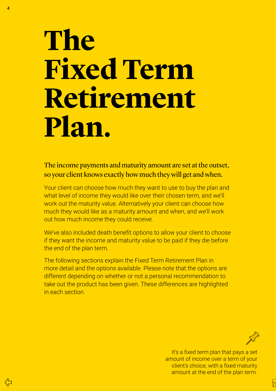## <span id="page-3-0"></span>**The Fixed Term Retirement Plan.**

The income payments and maturity amount are set at the outset, so your client knows exactly how much they will get and when.

Your client can choose how much they want to use to buy the plan and what level of income they would like over their chosen term, and we'll work out the maturity value. Alternatively your client can choose how much they would like as a maturity amount and when, and we'll work out how much income they could receive.

We've also included death benefit options to allow your client to choose if they want the income and maturity value to be paid if they die before the end of the plan term.

The following sections explain the Fixed Term Retirement Plan in more detail and the options available. Please note that the options are different depending on whether or not a personal recommendation to take out the product has been given. These differences are highlighted in each section.

┟

It's a fixed term plan that pays a set amount of income over a term of your client's choice, with a fixed maturity amount at the end of the plan term.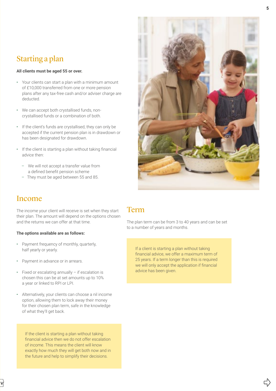## Starting a plan

#### **All clients must be aged 55 or over.**

- Your clients can start a plan with a minimum amount of £10,000 transferred from one or more pension plans after any tax-free cash and/or adviser charge are deducted.
- We can accept both crystallised funds, noncrystallised funds or a combination of both.
- If the client's funds are crystallised, they can only be accepted if the current pension plan is in drawdown or has been designated for drawdown.
- If the client is starting a plan without taking financial advice then:
	- We will not accept a transfer value from a defined benefit pension scheme
	- They must be aged between 55 and 85.



## Income

The income your client will receive is set when they start their plan. The amount will depend on the options chosen and the returns we can offer at that time.

### **The options available are as follows:**

- Payment frequency of monthly, quarterly, half yearly or yearly.
- Payment in advance or in arrears.
- Fixed or escalating annually if escalation is chosen this can be at set amounts up to 10% a year or linked to RPI or LPI.
- Alternatively, your clients can choose a nil income option, allowing them to lock away their money for their chosen plan term, safe in the knowledge of what they'll get back.

If the client is starting a plan without taking financial advice then we do not offer escalation of income. This means the client will know exactly how much they will get both now and in the future and help to simplify their decisions.

## Term

The plan term can be from 3 to 40 years and can be set to a number of years and months.

If a client is starting a plan without taking financial advice, we offer a maximum term of 25 years. If a term longer than this is required we will only accept the application if financial advice has been given.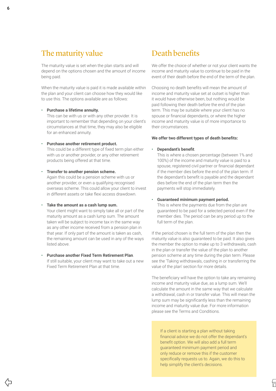## The maturity value

The maturity value is set when the plan starts and will depend on the options chosen and the amount of income being paid.

When the maturity value is paid it is made available within the plan and your client can choose how they would like to use this. The options available are as follows:

#### • **Purchase a lifetime annuity.**

This can be with us or with any other provider. It is important to remember that depending on your client's circumstances at that time, they may also be eligible for an enhanced annuity.

#### • **Purchase another retirement product.**

This could be a different type of fixed term plan either with us or another provider, or any other retirement products being offered at that time.

• **Transfer to another pension scheme.**  Again this could be a pension scheme with us or another provider, or even a qualifying recognised overseas scheme. This could allow your client to invest in different assets or take flexi access drawdown.

#### • **Take the amount as a cash lump sum.**

Your client might want to simply take all or part of the maturity amount as a cash lump sum. The amount taken will be subject to income tax in the same way as any other income received from a pension plan in that year. If only part of the amount is taken as cash, the remaining amount can be used in any of the ways listed above.

• **Purchase another Fixed Term Retirement Plan**. If still suitable, your client may want to take out a new Fixed Term Retirement Plan at that time.

## Death benefits

We offer the choice of whether or not your client wants the income and maturity value to continue to be paid in the event of their death before the end of the term of the plan.

Choosing no death benefits will mean the amount of income and maturity value set at outset is higher than it would have otherwise been, but nothing would be paid following their death before the end of the plan term. This may be suitable where your client has no spouse or financial dependants, or where the higher income and maturity value is of more importance to their circumstances.

#### **We offer two different types of death benefits:**

#### • **Dependant's benefit**.

This is where a chosen percentage (between 1% and 100%) of the income and maturity value is paid to a spouse, registered civil partner or financial dependant if the member dies before the end of the plan term. If the dependant's benefit is payable and the dependant dies before the end of the plan term then the payments will stop immediately.

#### • **Guaranteed minimum payment period.**

This is where the payments due from the plan are guaranteed to be paid for a selected period even if the member dies. The period can be any period up to the full term of the plan.

If the period chosen is the full term of the plan then the maturity value is also guaranteed to be paid. It also gives the member the option to make up to 3 withdrawals, cash in the plan or transfer the value of the plan to another pension scheme at any time during the plan term. Please see the 'Taking withdrawals, cashing in or transferring the value of the plan' section for more details.

The beneficiary will have the option to take any remaining income and maturity value due, as a lump sum. We'll calculate the amount in the same way that we calculate a withdrawal, cash in or transfer value. This will mean the lump sum may be significantly less than the remaining income and maturity value due. For more information please see the Terms and Conditions.

If a client is starting a plan without taking financial advice we do not offer the dependant's benefit option. We will also add a full term guaranteed minimum payment period and only reduce or remove this if the customer specifically requests us to. Again, we do this to help simplify the client's decisions.

他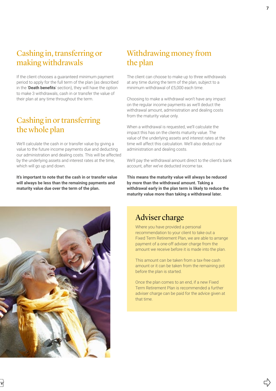## Cashing in, transferring or making withdrawals

If the client chooses a guaranteed minimum payment period to apply for the full term of the plan (as described in the '**Death benefits**' section), they will have the option to make 3 withdrawals, cash in or transfer the value of their plan at any time throughout the term.

## Cashing in or transferring the whole plan

We'll calculate the cash in or transfer value by giving a value to the future income payments due and deducting our administration and dealing costs. This will be affected by the underlying assets and interest rates at the time, which will go up and down.

**It's important to note that the cash in or transfer value will always be less than the remaining payments and maturity value due over the term of the plan.**

## Withdrawing money from the plan

The client can choose to make up to three withdrawals at any time during the term of the plan, subject to a minimum withdrawal of £5,000 each time.

Choosing to make a withdrawal won't have any impact on the regular income payments as we'll deduct the withdrawal amount, administration and dealing costs from the maturity value only.

When a withdrawal is requested, we'll calculate the impact this has on the clients maturity value. The value of the underlying assets and interest rates at the time will affect this calculation. We'll also deduct our administration and dealing costs.

We'll pay the withdrawal amount direct to the client's bank account, after we've deducted income tax.

**This means the maturity value will always be reduced by more than the withdrawal amount. Taking a withdrawal early in the plan term is likely to reduce the maturity value more than taking a withdrawal later.** 

## Adviser charge

Where you have provided a personal recommendation to your client to take out a Fixed Term Retirement Plan, we are able to arrange payment of a one-off adviser charge from the amount we receive before it is made into the plan.

This amount can be taken from a tax-free cash amount or it can be taken from the remaining pot before the plan is started.

Once the plan comes to an end, if a new Fixed Term Retirement Plan is recommended a further adviser charge can be paid for the advice given at that time.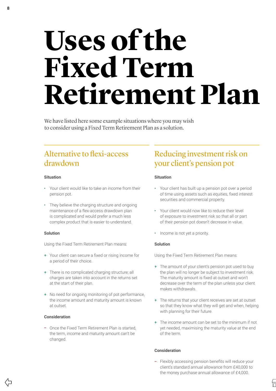## <span id="page-7-0"></span>Uses of the **Fixed Term Retirement Plan**

We have listed here some example situations where you may wish to consider using a Fixed Term Retirement Plan as a solution.

## Alternative to flexi‑access drawdown

### **Situation**

- Your client would like to take an income from their pension pot.
- They believe the charging structure and ongoing maintenance of a flex-access drawdown plan is complicated and would prefer a much less complex product that is easier to understand.

#### **Solution**

Using the Fixed Term Retirement Plan means:

- + Your client can secure a fixed or rising income for a period of their choice.
- + There is no complicated charging structure; all charges are taken into account in the returns set at the start of their plan.
- + No need for ongoing monitoring of pot performance, the income amount and maturity amount is known at outset.

#### **Consideration**

- Once the Fixed Term Retirement Plan is started, the term, income and maturity amount can't be changed.

## Reducing investment risk on your client's pension pot

### **Situation**

- Your client has built up a pension pot over a period of time using assets such as equities, fixed interest securities and commercial property.
- Your client would now like to reduce their level of exposure to investment risk so that all or part of their pension pot doesn't decrease in value.
- Income is not yet a priority.

#### **Solution**

Using the Fixed Term Retirement Plan means:

- + The amount of your client's pension pot used to buy the plan will no longer be subject to investment risk. The maturity amount is fixed at outset and won't decrease over the term of the plan unless your client makes withdrawals.
- + The returns that your client receives are set at outset so that they know what they will get and when, helping with planning for their future.
- + The income amount can be set to the minimum if not yet needed, maximising the maturity value at the end of the term.

#### **Consideration**

- Flexibly accessing pension benefits will reduce your client's standard annual allowance from £40,000 to the money purchase annual allowance of £4,000.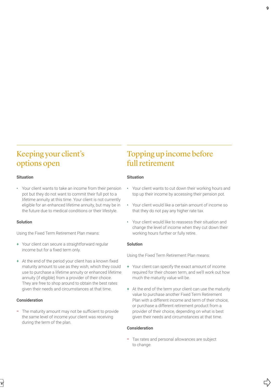## Keeping your client's options open

#### **Situation**

• Your client wants to take an income from their pension pot but they do not want to commit their full pot to a lifetime annuity at this time. Your client is not currently eligible for an enhanced lifetime annuity, but may be in the future due to medical conditions or their lifestyle.

#### **Solution**

Using the Fixed Term Retirement Plan means:

- + Your client can secure a straightforward regular income but for a fixed term only.
- + At the end of the period your client has a known fixed maturity amount to use as they wish, which they could use to purchase a lifetime annuity or enhanced lifetime annuity (if eligible) from a provider of their choice. They are free to shop around to obtain the best rates given their needs and circumstances at that time.

### **Consideration**

- The maturity amount may not be sufficient to provide the same level of income your client was receiving during the term of the plan.

## Topping up income before full retirement

#### **Situation**

- Your client wants to cut down their working hours and top up their income by accessing their pension pot.
- Your client would like a certain amount of income so that they do not pay any higher rate tax.
- Your client would like to reassess their situation and change the level of income when they cut down their working hours further or fully retire.

### **Solution**

Using the Fixed Term Retirement Plan means:

- + Your client can specify the exact amount of income required for their chosen term, and we'll work out how much the maturity value will be.
- + At the end of the term your client can use the maturity value to purchase another Fixed Term Retirement Plan with a different income and term of their choice, or purchase a different retirement product from a provider of their choice, depending on what is best given their needs and circumstances at that time.

#### **Consideration**

- Tax rates and personal allowances are subject to change.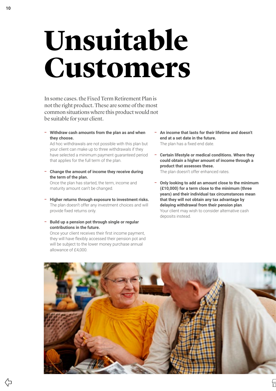## <span id="page-9-0"></span>**Unsuitable Customers**

In some cases. the Fixed Term Retirement Plan is not the right product. These are some of the most common situations where this product would not be suitable for your client.

- **Withdraw cash amounts from the plan as and when they choose.** 

Ad hoc withdrawals are not possible with this plan but your client can make up to three withdrawals if they have selected a minimum payment guaranteed period that applies for the full term of the plan.

- **Change the amount of income they receive during the term of the plan.** 

Once the plan has started, the term, income and maturity amount can't be changed.

- **Higher returns through exposure to investment risks.**  The plan doesn't offer any investment choices and will provide fixed returns only.
- **Build up a pension pot through single or regular contributions in the future.**

Once your client receives their first income payment, they will have flexibly accessed their pension pot and will be subject to the lower money purchase annual allowance of £4,000.

- **An income that lasts for their lifetime and doesn't end at a set date in the future.**  The plan has a fixed end date.
- **Certain lifestyle or medical conditions. Where they could obtain a higher amount of income through a product that assesses these.** The plan doesn't offer enhanced rates.
- **Only looking to add an amount close to the minimum (£10,000) for a term close to the minimum (three years) and their individual tax circumstances mean that they will not obtain any tax advantage by delaying withdrawal from their pension plan**. Your client may wish to consider alternative cash deposits instead.



(5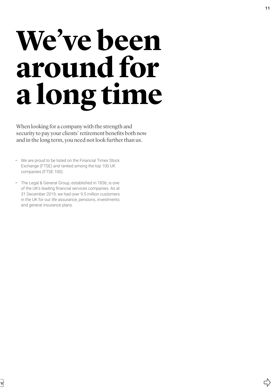## <span id="page-10-0"></span>We've been **around for a long time**

When looking for a company with the strength and security to pay your clients' retirement benefits both now and in the long term, you need not look further than us.

- We are proud to be listed on the Financial Times Stock Exchange (FTSE) and ranked among the top 100 UK companies (FTSE 100).
- The Legal & General Group, established in 1836, is one of the UK's leading financial services companies. As at 31 December 2019, we had over 9.5 million customers in the UK for our life assurance, pensions, investments and general insurance plans.

 $\overrightarrow{C}$